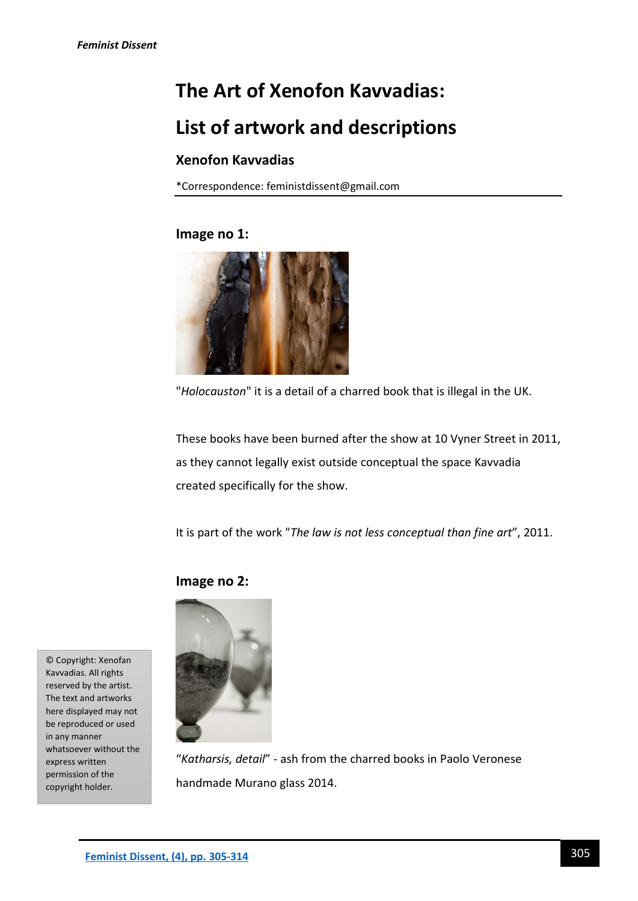# **The Art of Xenofon Kavvadias:**

# **List of artwork and descriptions**

# **Xenofon Kavvadias**

\*Correspondence: feministdissent@gmail.com

# **Image no 1:**



"*Holocauston*" it is a detail of a charred book that is illegal in the UK.

These books have been burned after the show at 10 Vyner Street in 2011, as they cannot legally exist outside conceptual the space Kavvadia created specifically for the show.

It is part of the work "*The law is not less conceptual than fine art*", 2011.

# **Image no 2:**

© Copyright: Xenofan Kavvadias. All rights reserved by the artist. The text and artworks here displayed may not be reproduced or used in any manner whatsoever without the express written permission of the copyright holder.



"*Katharsis, detail*" - ash from the charred books in Paolo Veronese handmade Murano glass 2014.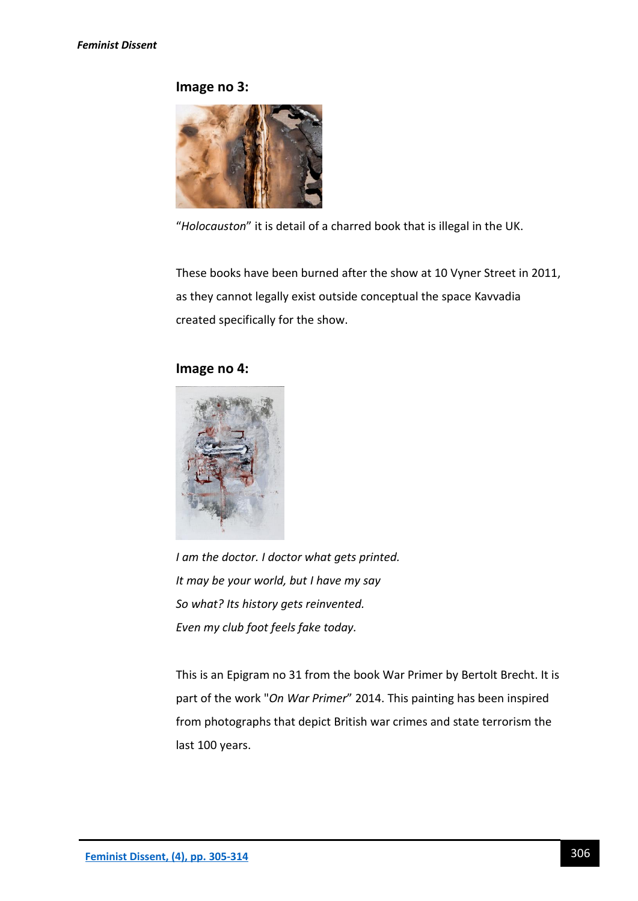## **Image no 3:**



"*Holocauston*" it is detail of a charred book that is illegal in the UK.

These books have been burned after the show at 10 Vyner Street in 2011, as they cannot legally exist outside conceptual the space Kavvadia created specifically for the show.

# **Image no 4:**



*I am the doctor. I doctor what gets printed. It may be your world, but I have my say So what? Its history gets reinvented. Even my club foot feels fake today.*

This is an Epigram no 31 from the book War Primer by Bertolt Brecht. It is part of the work "*On War Primer*" 2014. This painting has been inspired from photographs that depict British war crimes and state terrorism the last 100 years.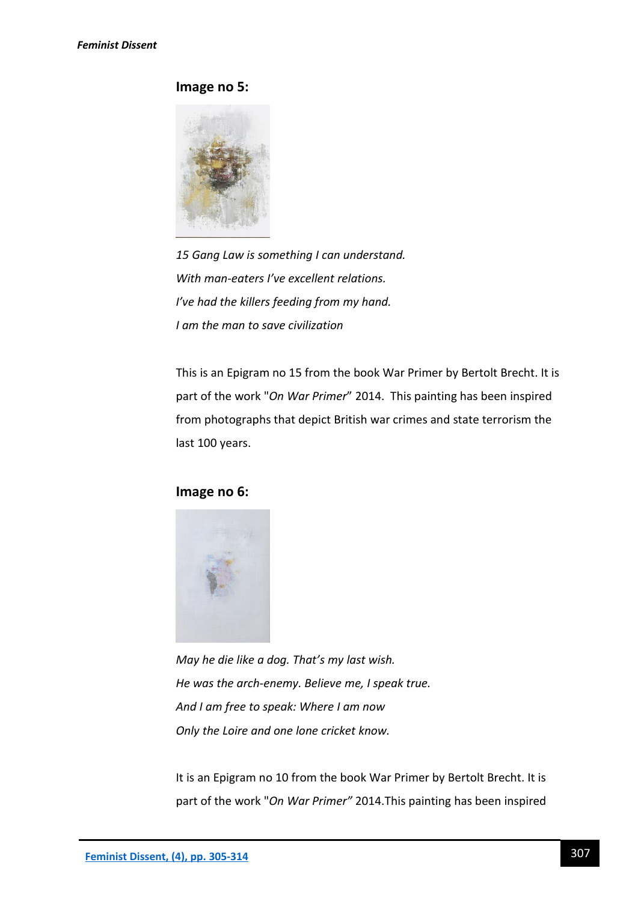# **Image no 5:**



*15 Gang Law is something I can understand. With man-eaters I've excellent relations. I've had the killers feeding from my hand. I am the man to save civilization*

This is an Epigram no 15 from the book War Primer by Bertolt Brecht. It is part of the work "*On War Primer*" 2014. This painting has been inspired from photographs that depict British war crimes and state terrorism the last 100 years.

## **Image no 6:**



*May he die like a dog. That's my last wish. He was the arch-enemy. Believe me, I speak true. And I am free to speak: Where I am now Only the Loire and one lone cricket know.*

It is an Epigram no 10 from the book War Primer by Bertolt Brecht. It is part of the work "*On War Primer"* 2014.This painting has been inspired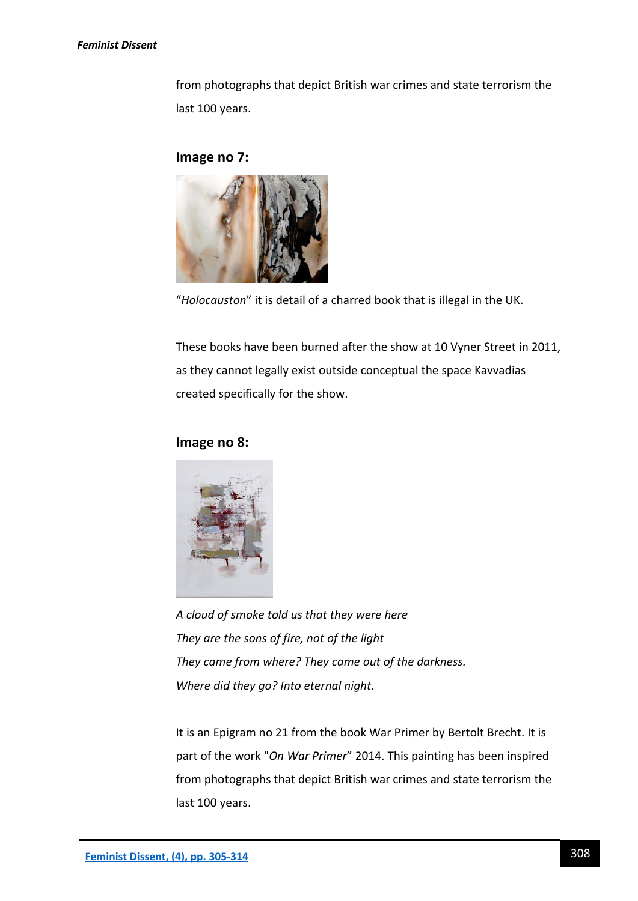#### *Feminist Dissent*

from photographs that depict British war crimes and state terrorism the last 100 years.

# **Image no 7:**



"*Holocauston*" it is detail of a charred book that is illegal in the UK.

These books have been burned after the show at 10 Vyner Street in 2011, as they cannot legally exist outside conceptual the space Kavvadias created specifically for the show.

## **Image no 8:**



*A cloud of smoke told us that they were here They are the sons of fire, not of the light They came from where? They came out of the darkness. Where did they go? Into eternal night.*

It is an Epigram no 21 from the book War Primer by Bertolt Brecht. It is part of the work "*On War Primer*" 2014. This painting has been inspired from photographs that depict British war crimes and state terrorism the last 100 years.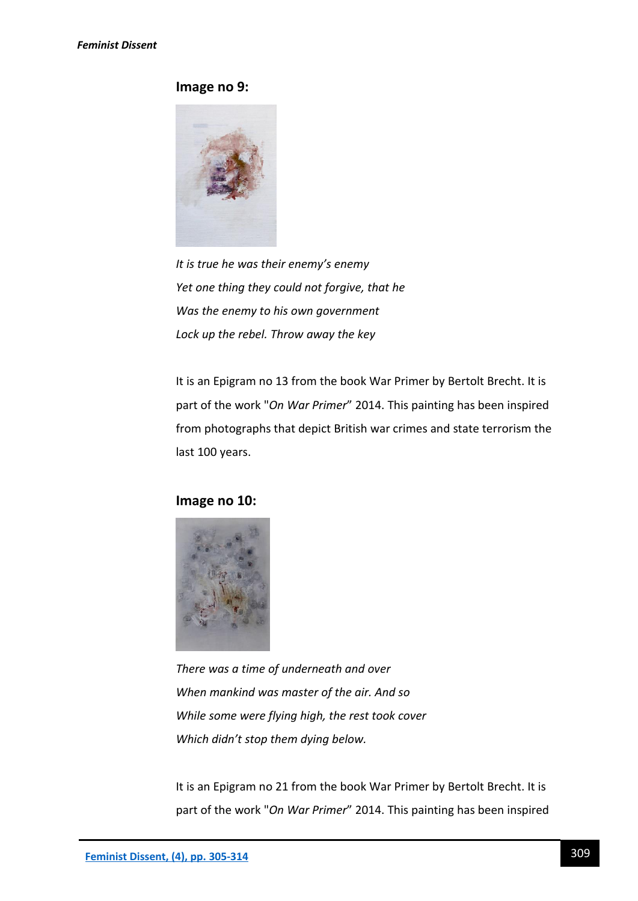# **Image no 9:**



*It is true he was their enemy's enemy Yet one thing they could not forgive, that he Was the enemy to his own government Lock up the rebel. Throw away the key*

It is an Epigram no 13 from the book War Primer by Bertolt Brecht. It is part of the work "*On War Primer*" 2014. This painting has been inspired from photographs that depict British war crimes and state terrorism the last 100 years.

# **Image no 10:**



*There was a time of underneath and over When mankind was master of the air. And so While some were flying high, the rest took cover Which didn't stop them dying below.*

It is an Epigram no 21 from the book War Primer by Bertolt Brecht. It is part of the work "*On War Primer*" 2014. This painting has been inspired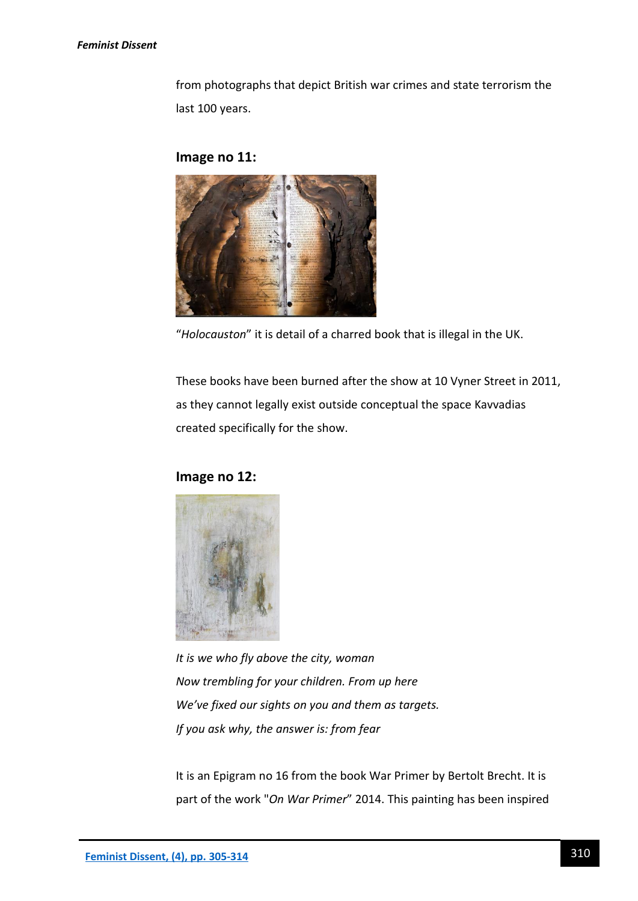#### *Feminist Dissent*

from photographs that depict British war crimes and state terrorism the last 100 years.

## **Image no 11:**



"*Holocauston*" it is detail of a charred book that is illegal in the UK.

These books have been burned after the show at 10 Vyner Street in 2011, as they cannot legally exist outside conceptual the space Kavvadias created specifically for the show.

## **Image no 12:**



*It is we who fly above the city, woman Now trembling for your children. From up here We've fixed our sights on you and them as targets. If you ask why, the answer is: from fear*

It is an Epigram no 16 from the book War Primer by Bertolt Brecht. It is part of the work "*On War Primer*" 2014. This painting has been inspired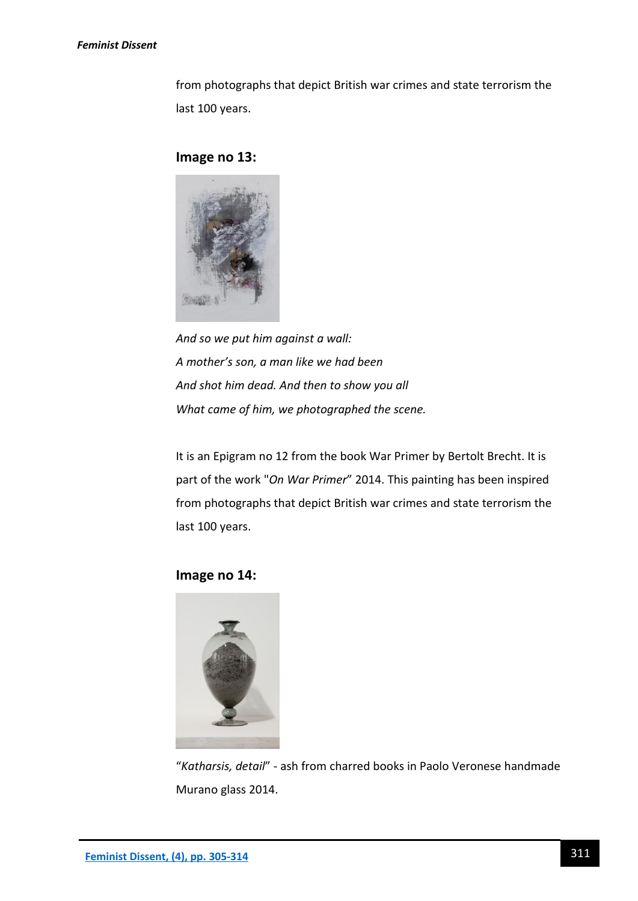#### *Feminist Dissent*

from photographs that depict British war crimes and state terrorism the last 100 years.

#### **Image no 13:**



*And so we put him against a wall: A mother's son, a man like we had been And shot him dead. And then to show you all What came of him, we photographed the scene.*

It is an Epigram no 12 from the book War Primer by Bertolt Brecht. It is part of the work "*On War Primer*" 2014. This painting has been inspired from photographs that depict British war crimes and state terrorism the last 100 years.

**Image no 14:**



"*Katharsis, detail*" - ash from charred books in Paolo Veronese handmade Murano glass 2014.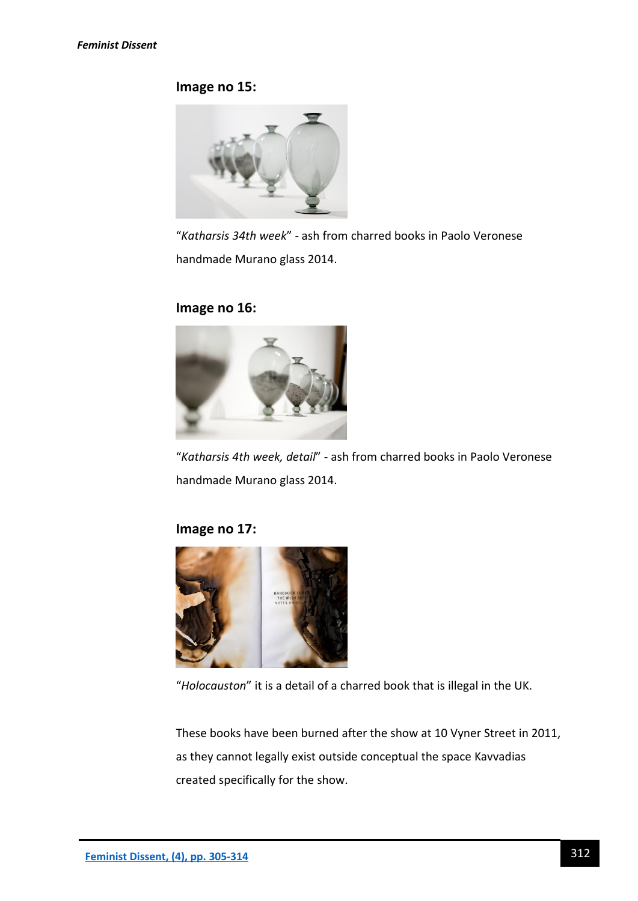# **Image no 15:**



"*Katharsis 34th week*" - ash from charred books in Paolo Veronese handmade Murano glass 2014.

# **Image no 16:**



"*Katharsis 4th week, detail*" - ash from charred books in Paolo Veronese handmade Murano glass 2014.

# **Image no 17:**



"*Holocauston*" it is a detail of a charred book that is illegal in the UK.

These books have been burned after the show at 10 Vyner Street in 2011, as they cannot legally exist outside conceptual the space Kavvadias created specifically for the show.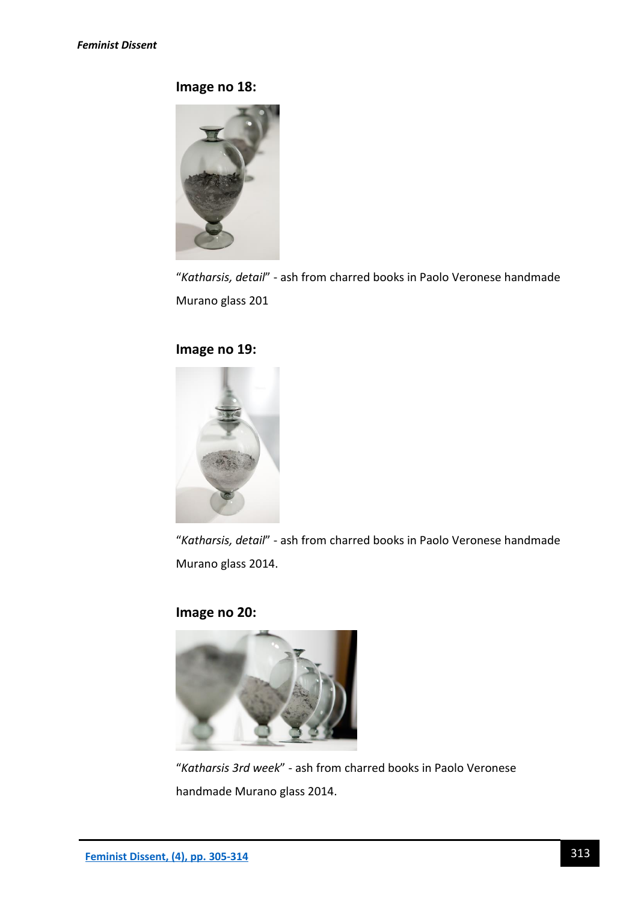**Image no 18:**



"*Katharsis, detail*" - ash from charred books in Paolo Veronese handmade Murano glass 201

# **Image no 19:**



"*Katharsis, detail*" - ash from charred books in Paolo Veronese handmade Murano glass 2014.

# **Image no 20:**



"*Katharsis 3rd week*" - ash from charred books in Paolo Veronese handmade Murano glass 2014.